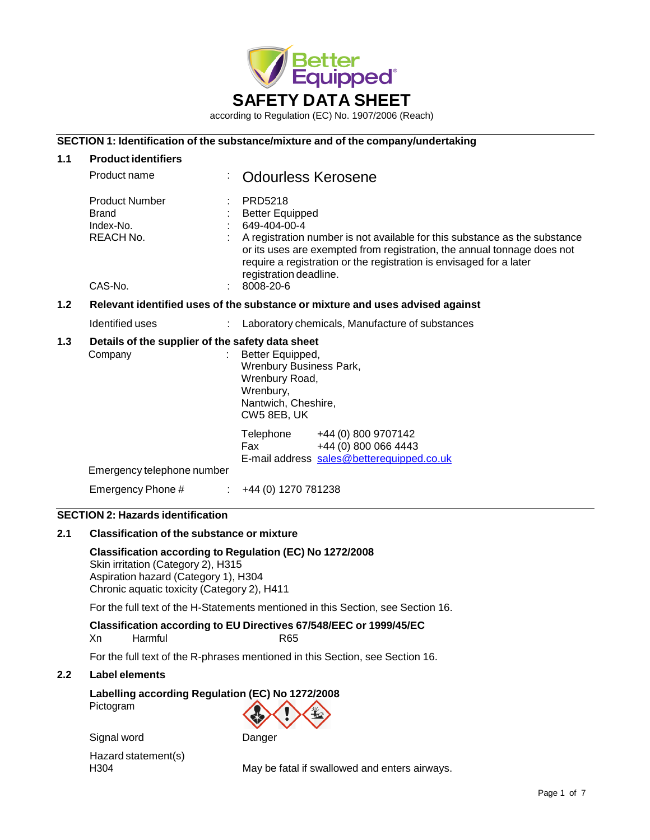

### **SECTION 1: Identification of the substance/mixture and of the company/undertaking**

| 1.1 | <b>Product identifiers</b>                                                 |                                                                                                                                                                                                                                                                                                                          |
|-----|----------------------------------------------------------------------------|--------------------------------------------------------------------------------------------------------------------------------------------------------------------------------------------------------------------------------------------------------------------------------------------------------------------------|
|     | Product name                                                               | <b>Odourless Kerosene</b>                                                                                                                                                                                                                                                                                                |
|     | <b>Product Number</b><br><b>Brand</b><br>Index-No.<br>REACH No.<br>CAS-No. | PRD5218<br><b>Better Equipped</b><br>649-404-00-4<br>A registration number is not available for this substance as the substance<br>or its uses are exempted from registration, the annual tonnage does not<br>require a registration or the registration is envisaged for a later<br>registration deadline.<br>8008-20-6 |
| 1.2 |                                                                            | Relevant identified uses of the substance or mixture and uses advised against                                                                                                                                                                                                                                            |
|     | Identified uses                                                            | Laboratory chemicals, Manufacture of substances                                                                                                                                                                                                                                                                          |
| 1.3 | Details of the supplier of the safety data sheet<br>Company                | Better Equipped,<br>Wrenbury Business Park,<br>Wrenbury Road,<br>Wrenbury,<br>Nantwich, Cheshire,<br>CW5 8EB, UK                                                                                                                                                                                                         |
|     |                                                                            | Telephone<br>+44 (0) 800 9707142<br>Fax<br>+44 (0) 800 066 4443<br>E-mail address sales@betterequipped.co.uk                                                                                                                                                                                                             |
|     | Emergency telephone number                                                 |                                                                                                                                                                                                                                                                                                                          |
|     | Emergency Phone #                                                          | +44 (0) 1270 781238<br>$\mathbb{Z}^n$ .                                                                                                                                                                                                                                                                                  |
|     | ومنازعه والتقارب والمراوية ومراويت<br><b>CEOTION A. IL.</b>                |                                                                                                                                                                                                                                                                                                                          |

# **SECTION 2: Hazards identification**

### **2.1 Classification of the substance or mixture**

**Classification according to Regulation (EC) No 1272/2008** Skin irritation (Category 2), H315 Aspiration hazard (Category 1), H304 Chronic aquatic toxicity (Category 2), H411

For the full text of the H-Statements mentioned in this Section, see Section 16.

#### **Classification according to EU Directives 67/548/EEC or 1999/45/EC**

| Xn | Harmful | R65 |
|----|---------|-----|
|    |         |     |

For the full text of the R-phrases mentioned in this Section, see Section 16.

#### **2.2 Label elements**

**Labelling according Regulation (EC) No 1272/2008** Pictogram

Signal word Danger Hazard statement(s)

H304 May be fatal if swallowed and enters airways.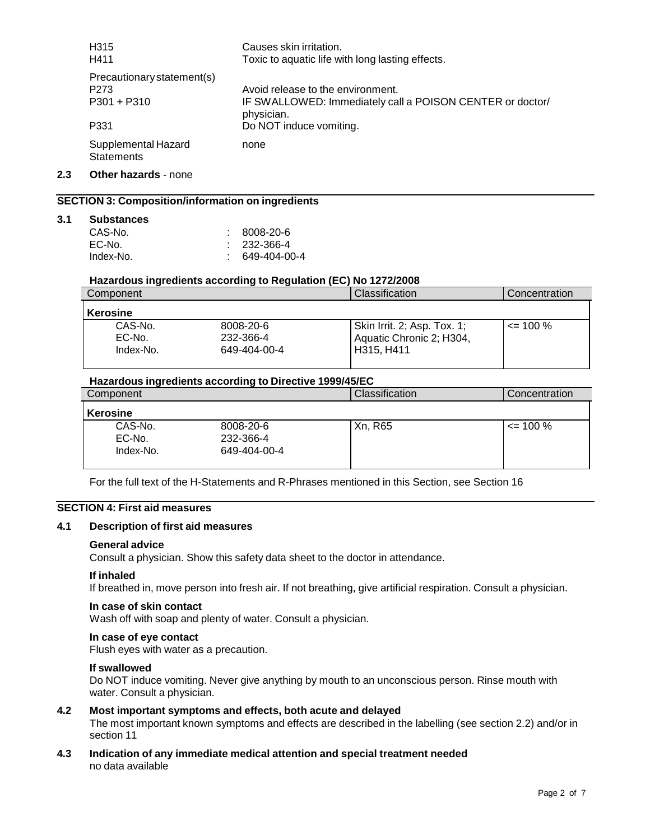| H <sub>315</sub><br>H411                 | Causes skin irritation.<br>Toxic to aquatic life with long lasting effects. |
|------------------------------------------|-----------------------------------------------------------------------------|
| Precautionary statement(s)               |                                                                             |
| P273                                     | Avoid release to the environment.                                           |
| $P301 + P310$                            | IF SWALLOWED: Immediately call a POISON CENTER or doctor/<br>physician.     |
| P331                                     | Do NOT induce vomiting.                                                     |
| Supplemental Hazard<br><b>Statements</b> | none                                                                        |

**2.3 Other hazards** - none

# **SECTION 3: Composition/information on ingredients**

#### **3.1 Substances**

| CAS-No.   | : 8008-20-6            |
|-----------|------------------------|
| EC-No.    | $\therefore$ 232-366-4 |
| Index-No. | 649-404-00-4           |

#### **Hazardous ingredients according to Regulation (EC) No 1272/2008**

| Component |              | Classification              | Concentration |
|-----------|--------------|-----------------------------|---------------|
| Kerosine  |              |                             |               |
| CAS-No.   | 8008-20-6    | Skin Irrit. 2; Asp. Tox. 1; | $\leq$ 100 %  |
| EC-No.    | 232-366-4    | Aquatic Chronic 2; H304,    |               |
| Index-No. | 649-404-00-4 | H315, H411                  |               |

#### **Hazardous ingredients according to Directive 1999/45/EC**

| Component                      |                                        | <b>Classification</b> | Concentration |
|--------------------------------|----------------------------------------|-----------------------|---------------|
| <b>Kerosine</b>                |                                        |                       |               |
| CAS-No.<br>EC-No.<br>Index-No. | 8008-20-6<br>232-366-4<br>649-404-00-4 | Xn, R65               | $\leq$ 100 %  |

For the full text of the H-Statements and R-Phrases mentioned in this Section, see Section 16

### **SECTION 4: First aid measures**

#### **4.1 Description of first aid measures**

#### **General advice**

Consult a physician. Show this safety data sheet to the doctor in attendance.

#### **If inhaled**

If breathed in, move person into fresh air. If not breathing, give artificial respiration. Consult a physician.

#### **In case of skin contact**

Wash off with soap and plenty of water. Consult a physician.

#### **In case of eye contact**

Flush eyes with water as a precaution.

#### **If swallowed**

Do NOT induce vomiting. Never give anything by mouth to an unconscious person. Rinse mouth with water. Consult a physician.

### **4.2 Most important symptoms and effects, both acute and delayed**

The most important known symptoms and effects are described in the labelling (see section 2.2) and/or in section 11

### **4.3 Indication of any immediate medical attention and special treatment needed** no data available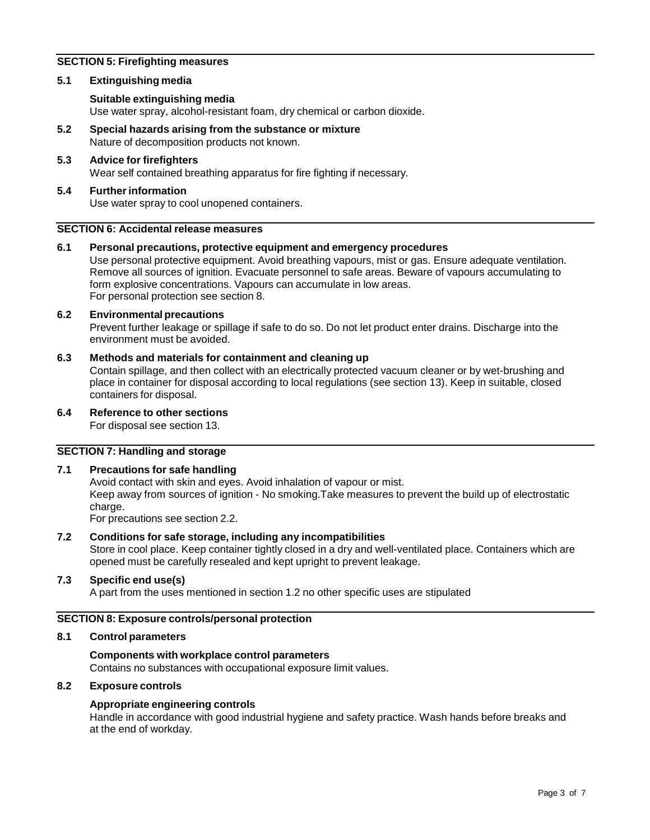### **SECTION 5: Firefighting measures**

### **5.1 Extinguishing media**

### **Suitable extinguishing media**

Use water spray, alcohol-resistant foam, dry chemical or carbon dioxide.

**5.2 Special hazards arising from the substance or mixture** Nature of decomposition products not known.

#### **5.3 Advice for firefighters** Wear self contained breathing apparatus for fire fighting if necessary.

#### **5.4 Furtherinformation** Use water spray to cool unopened containers.

### **SECTION 6: Accidental release measures**

#### **6.1 Personal precautions, protective equipment and emergency procedures** Use personal protective equipment. Avoid breathing vapours, mist or gas. Ensure adequate ventilation. Remove all sources of ignition. Evacuate personnel to safe areas. Beware of vapours accumulating to

form explosive concentrations. Vapours can accumulate in low areas. For personal protection see section 8.

#### **6.2 Environmentalprecautions**

Prevent further leakage or spillage if safe to do so. Do not let product enter drains. Discharge into the environment must be avoided.

### **6.3 Methods and materials for containment and cleaning up**

Contain spillage, and then collect with an electrically protected vacuum cleaner or by wet-brushing and place in container for disposal according to local regulations (see section 13). Keep in suitable, closed containers for disposal.

### **6.4 Reference to other sections**

For disposal see section 13.

### **SECTION 7: Handling and storage**

### **7.1 Precautions for safe handling**

Avoid contact with skin and eyes. Avoid inhalation of vapour or mist. Keep away from sources of ignition - No smoking.Take measures to prevent the build up of electrostatic charge.

For precautions see section 2.2.

### **7.2 Conditions for safe storage, including any incompatibilities**

Store in cool place. Keep container tightly closed in a dry and well-ventilated place. Containers which are opened must be carefully resealed and kept upright to prevent leakage.

### **7.3 Specific end use(s)**

A part from the uses mentioned in section 1.2 no other specific uses are stipulated

### **SECTION 8: Exposure controls/personal protection**

### **8.1 Control parameters**

### **Components with workplace control parameters**

Contains no substances with occupational exposure limit values.

### **8.2 Exposure controls**

### **Appropriate engineering controls**

Handle in accordance with good industrial hygiene and safety practice. Wash hands before breaks and at the end of workday.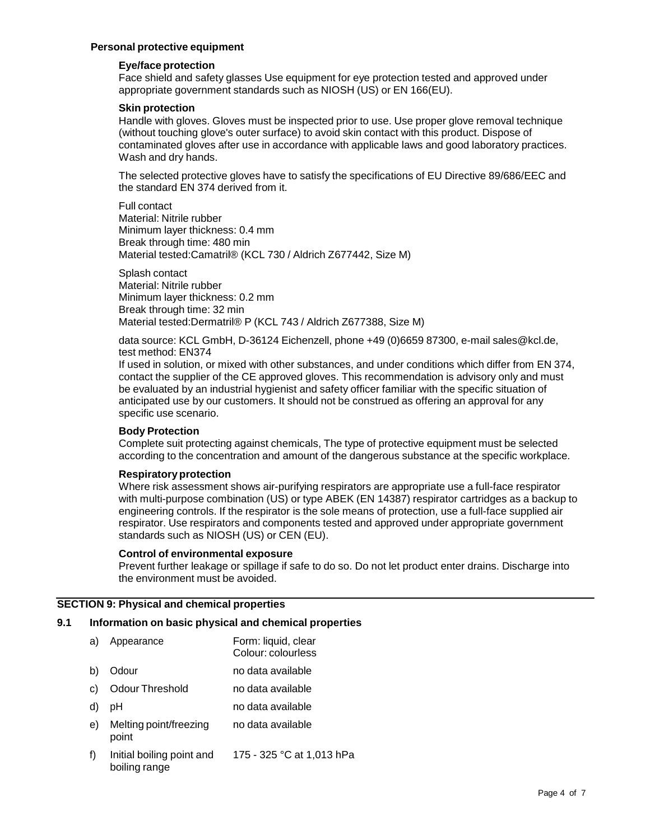### **Personal protective equipment**

#### **Eye/face protection**

Face shield and safety glasses Use equipment for eye protection tested and approved under appropriate government standards such as NIOSH (US) or EN 166(EU).

#### **Skin protection**

Handle with gloves. Gloves must be inspected prior to use. Use proper glove removal technique (without touching glove's outer surface) to avoid skin contact with this product. Dispose of contaminated gloves after use in accordance with applicable laws and good laboratory practices. Wash and dry hands.

The selected protective gloves have to satisfy the specifications of EU Directive 89/686/EEC and the standard EN 374 derived from it.

Full contact Material: Nitrile rubber Minimum layer thickness: 0.4 mm Break through time: 480 min Material tested:Camatril® (KCL 730 / Aldrich Z677442, Size M)

Splash contact Material: Nitrile rubber Minimum layer thickness: 0.2 mm Break through time: 32 min Material tested:Dermatril® P (KCL 743 / Aldrich Z677388, Size M)

data source: KCL GmbH, D-36124 Eichenzell, phone +49 (0)6659 87300, e-mail [sales@kcl.de,](mailto:sales@kcl.de) test method: EN374

If used in solution, or mixed with other substances, and under conditions which differ from EN 374, contact the supplier of the CE approved gloves. This recommendation is advisory only and must be evaluated by an industrial hygienist and safety officer familiar with the specific situation of anticipated use by our customers. It should not be construed as offering an approval for any specific use scenario.

### **Body Protection**

Complete suit protecting against chemicals, The type of protective equipment must be selected according to the concentration and amount of the dangerous substance at the specific workplace.

### **Respiratoryprotection**

Where risk assessment shows air-purifying respirators are appropriate use a full-face respirator with multi-purpose combination (US) or type ABEK (EN 14387) respirator cartridges as a backup to engineering controls. If the respirator is the sole means of protection, use a full-face supplied air respirator. Use respirators and components tested and approved under appropriate government standards such as NIOSH (US) or CEN (EU).

#### **Control of environmental exposure**

Prevent further leakage or spillage if safe to do so. Do not let product enter drains. Discharge into the environment must be avoided.

### **SECTION 9: Physical and chemical properties**

# **9.1 Information on basic physical and chemical properties**

a) Appearance Form: liquid, clear Colour: colourless b) Odour no data available c) Odour Threshold no data available d) pH no data available e) Melting point/freezing point f) Initial boiling point and boiling range no data available 175 - 325 °C at 1,013 hPa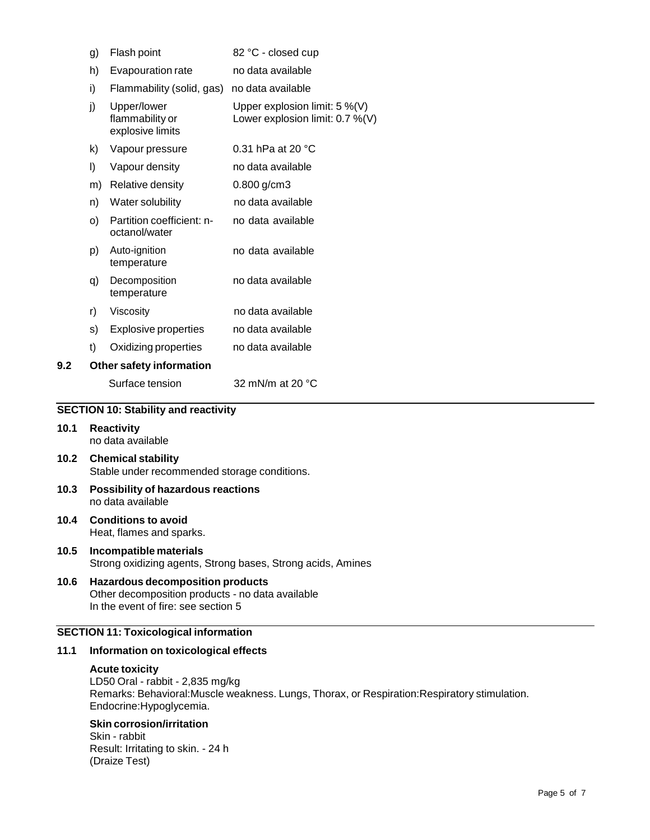|     | g) | Flash point                                        | 82 °C - closed cup                                                  |
|-----|----|----------------------------------------------------|---------------------------------------------------------------------|
|     | h) | Evapouration rate                                  | no data available                                                   |
|     | i) | Flammability (solid, gas)                          | no data available                                                   |
|     | j) | Upper/lower<br>flammability or<br>explosive limits | Upper explosion limit: $5\%$ (V)<br>Lower explosion limit: 0.7 %(V) |
|     | k) | Vapour pressure                                    | 0.31 hPa at 20 °C                                                   |
|     | I) | Vapour density                                     | no data available                                                   |
|     | m) | Relative density                                   | $0.800$ g/cm3                                                       |
|     | n) | Water solubility                                   | no data available                                                   |
|     | O) | Partition coefficient: n-<br>octanol/water         | no data available                                                   |
|     | p) | Auto-ignition<br>temperature                       | no data available                                                   |
|     | q) | Decomposition<br>temperature                       | no data available                                                   |
|     | r) | Viscosity                                          | no data available                                                   |
|     | s) | <b>Explosive properties</b>                        | no data available                                                   |
|     | t) | Oxidizing properties                               | no data available                                                   |
| 9.2 |    | Other safety information                           |                                                                     |
|     |    | Surface tension                                    | 32 mN/m at 20 °C                                                    |

#### **SECTION 10: Stability and reactivity**

- **10.1 Reactivity** no data available
- **10.2 Chemical stability** Stable under recommended storage conditions.
- **10.3 Possibility of hazardous reactions** no data available
- **10.4 Conditions to avoid** Heat, flames and sparks.
- **10.5 Incompatible materials** Strong oxidizing agents, Strong bases, Strong acids, Amines
- **10.6 Hazardous decomposition products** Other decomposition products - no data available In the event of fire: see section 5

### **SECTION 11: Toxicological information**

#### **11.1 Information on toxicological effects**

#### **Acute toxicity**

LD50 Oral - rabbit - 2,835 mg/kg Remarks: Behavioral:Muscle weakness. Lungs, Thorax, or Respiration:Respiratory stimulation. Endocrine:Hypoglycemia.

# **Skin corrosion/irritation**

Skin - rabbit Result: Irritating to skin. - 24 h (Draize Test)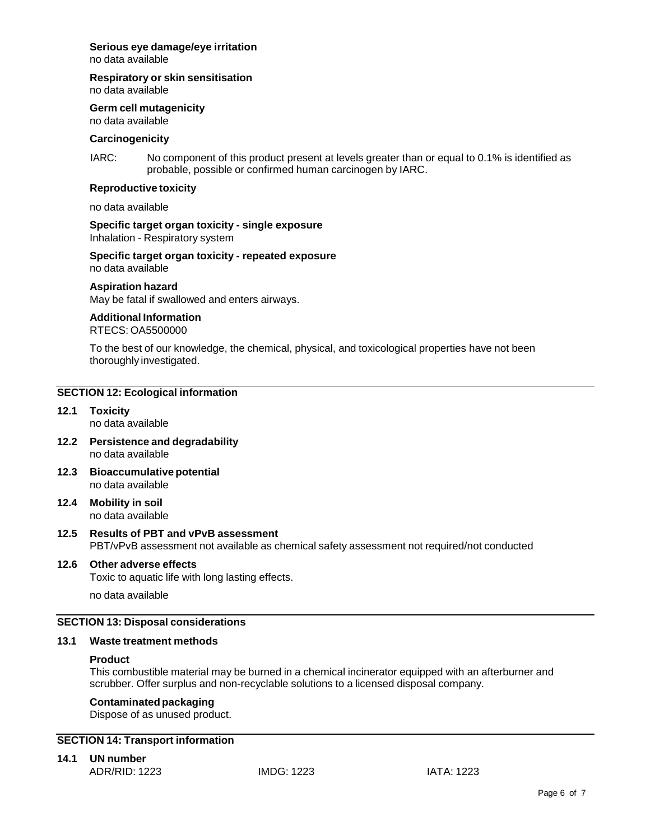# **Serious eye damage/eye irritation**

no data available

**Respiratory or skin sensitisation**

no data available

**Germ cell mutagenicity**

no data available

### **Carcinogenicity**

IARC: No component of this product present at levels greater than or equal to 0.1% is identified as probable, possible or confirmed human carcinogen by IARC.

# **Reproductive toxicity**

no data available

**Specific target organ toxicity - single exposure** Inhalation - Respiratory system

**Specific target organ toxicity - repeated exposure** no data available

### **Aspiration hazard**

May be fatal if swallowed and enters airways.

## **Additional Information**

RTECS: OA5500000

To the best of our knowledge, the chemical, physical, and toxicological properties have not been thoroughly investigated.

### **SECTION 12: Ecological information**

- **12.1 Toxicity** no data available
- **12.2 Persistence and degradability** no data available
- **12.3 Bioaccumulativepotential** no data available
- **12.4 Mobility in soil** no data available

### **12.5 Results of PBT and vPvB assessment** PBT/vPvB assessment not available as chemical safety assessment not required/not conducted

### **12.6 Other adverse effects**

Toxic to aquatic life with long lasting effects.

no data available

### **SECTION 13: Disposal considerations**

### **13.1 Waste treatment methods**

### **Product**

This combustible material may be burned in a chemical incinerator equipped with an afterburner and scrubber. Offer surplus and non-recyclable solutions to a licensed disposal company.

## **Contaminated packaging**

Dispose of as unused product.

# **SECTION 14: Transport information**

# **14.1 UN number**

ADR/RID: 1223 IMDG: 1223 IATA: 1223